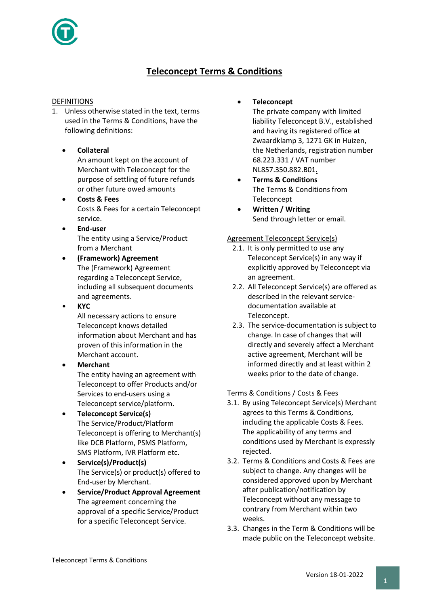

# **Teleconcept Terms & Conditions**

## DEFINITIONS

- 1. Unless otherwise stated in the text, terms used in the Terms & Conditions, have the following definitions:
	- **Collateral** An amount kept on the account of Merchant with Teleconcept for the purpose of settling of future refunds or other future owed amounts
	- **Costs & Fees** Costs & Fees for a certain Teleconcept service.
	- **End-user** The entity using a Service/Product from a Merchant
	- **(Framework) Agreement** The (Framework) Agreement regarding a Teleconcept Service, including all subsequent documents and agreements.
		- **KYC** All necessary actions to ensure Teleconcept knows detailed
			- information about Merchant and has proven of this information in the Merchant account. • **Merchant**
		- The entity having an agreement with Teleconcept to offer Products and/or Services to end-users using a Teleconcept service/platform.
	- **Teleconcept Service(s)** The Service/Product/Platform Teleconcept is offering to Merchant(s) like DCB Platform, PSMS Platform, SMS Platform, IVR Platform etc.
	- **Service(s)/Product(s)** The Service(s) or product(s) offered to End-user by Merchant.
	- **Service/Product Approval Agreement** The agreement concerning the approval of a specific Service/Product for a specific Teleconcept Service.

• **Teleconcept**

The private company with limited liability Teleconcept B.V., established and having its registered office at Zwaardklamp 3, 1271 GK in Huizen, the Netherlands, registration number 68.223.331 / VAT number NL857.350.882.B01.

- **Terms & Conditions** The Terms & Conditions from Teleconcept
- **Written / Writing** Send through letter or email.

## Agreement Teleconcept Service(s)

- 2.1. It is only permitted to use any Teleconcept Service(s) in any way if explicitly approved by Teleconcept via an agreement.
- 2.2. All Teleconcept Service(s) are offered as described in the relevant servicedocumentation available at Teleconcept.
- 2.3. The service-documentation is subject to change. In case of changes that will directly and severely affect a Merchant active agreement, Merchant will be informed directly and at least within 2 weeks prior to the date of change.

## Terms & Conditions / Costs & Fees

- 3.1. By using Teleconcept Service(s) Merchant agrees to this Terms & Conditions, including the applicable Costs & Fees. The applicability of any terms and conditions used by Merchant is expressly rejected.
- 3.2. Terms & Conditions and Costs & Fees are subject to change. Any changes will be considered approved upon by Merchant after publication/notification by Teleconcept without any message to contrary from Merchant within two weeks.
- 3.3. Changes in the Term & Conditions will be made public on the Teleconcept website.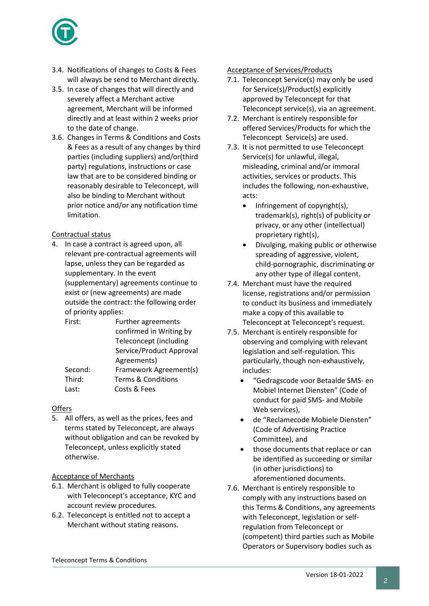

- 3.4. Notifications of changes to Costs & Fees will always be send to Merchant directly.
- 3.5. In case of changes that will directly and severely affect a Merchant active agreement, Merchant will be informed directly and at least within 2 weeks prior to the date of change.
- 3.6. Changes in Terms & Conditions and Costs & Fees as a result of any changes by third parties (including suppliers) and/or(third party) regulations, instructions or case law that are to be considered binding or reasonably desirable to Teleconcept, will also be binding to Merchant without prior notice and/or any notification time limitation.

## Contractual status

4. In case a contract is agreed upon, all relevant pre-contractual agreements will lapse, unless they can be regarded as supplementary. In the event (supplementary) agreements continue to exist or (new agreements) are made outside the contract: the following order of priority applies:

| <b>Further agreements</b>     |
|-------------------------------|
| confirmed in Writing by       |
| <b>Teleconcept (including</b> |
| Service/Product Approval      |
| Agreements)                   |
| Framework Agreement(s)        |
| <b>Terms &amp; Conditions</b> |
| Costs & Fees                  |
|                               |

## **Offers**

5. All offers, as well as the prices, fees and terms stated by Teleconcept, are always without obligation and can be revoked by Teleconcept, unless explicitly stated otherwise.

## Acceptance of Merchants

- 6.1. Merchant is obliged to fully cooperate with Teleconcept's acceptance, KYC and account review procedures.
- 6.2. Teleconcept is entitled not to accept a Merchant without stating reasons.

#### Acceptance of Services/Products

- 7.1. Teleconcept Service(s) may only be used for Service(s)/Product(s) explicitly approved by Teleconcept for that Teleconcept service(s), via an agreement.
- 7.2. Merchant is entirely responsible for offered Services/Products for which the Teleconcept Service(s) are used.
- 7.3. It is not permitted to use Teleconcept Service(s) for unlawful, illegal, misleading, criminal and/or immoral activities, services or products. This includes the following, non-exhaustive, acts:
	- Infringement of copyright(s), trademark(s), right(s) of publicity or privacy, or any other (intellectual) proprietary right(s),
	- Divulging, making public or otherwise spreading of aggressive, violent, child-pornographic, discriminating or any other type of illegal content.
- 7.4. Merchant must have the required license, registrations and/or permission to conduct its business and immediately make a copy of this available to Teleconcept at Teleconcept's request.
- 7.5. Merchant is entirely responsible for observing and complying with relevant legislation and self-regulation. This particularly, though non-exhaustively, includes:
	- "Gedragscode voor Betaalde SMS- en Mobiel Internet Diensten" (Code of conduct for paid SMS- and Mobile Web services),
	- de "Reclamecode Mobiele Diensten" (Code of Advertising Practice Committee), and
	- those documents that replace or can be identified as succeeding or similar (in other jurisdictions) to aforementioned documents.
- 7.6. Merchant is entirely responsible to comply with any instructions based on this Terms & Conditions, any agreements with Teleconcept, legislation or selfregulation from Teleconcept or (competent) third parties such as Mobile Operators or Supervisory bodies such as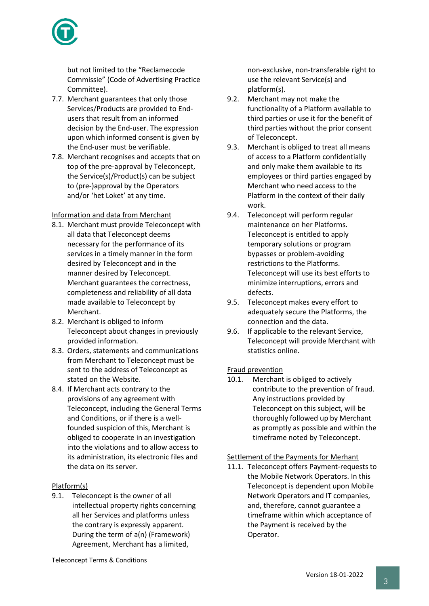

but not limited to the "Reclamecode Commissie" (Code of Advertising Practice Committee).

- 7.7. Merchant guarantees that only those Services/Products are provided to Endusers that result from an informed decision by the End-user. The expression upon which informed consent is given by the End-user must be verifiable.
- 7.8. Merchant recognises and accepts that on top of the pre-approval by Teleconcept, the Service(s)/Product(s) can be subject to (pre-)approval by the Operators and/or 'het Loket' at any time.

## Information and data from Merchant

- 8.1. Merchant must provide Teleconcept with all data that Teleconcept deems necessary for the performance of its services in a timely manner in the form desired by Teleconcept and in the manner desired by Teleconcept. Merchant guarantees the correctness, completeness and reliability of all data made available to Teleconcept by Merchant.
- 8.2. Merchant is obliged to inform Teleconcept about changes in previously provided information.
- 8.3. Orders, statements and communications from Merchant to Teleconcept must be sent to the address of Teleconcept as stated on the Website.
- 8.4. If Merchant acts contrary to the provisions of any agreement with Teleconcept, including the General Terms and Conditions, or if there is a wellfounded suspicion of this, Merchant is obliged to cooperate in an investigation into the violations and to allow access to its administration, its electronic files and the data on its server.

## Platform(s)

9.1. Teleconcept is the owner of all intellectual property rights concerning all her Services and platforms unless the contrary is expressly apparent. During the term of a(n) (Framework) Agreement, Merchant has a limited,

non-exclusive, non-transferable right to use the relevant Service(s) and platform(s).

- 9.2. Merchant may not make the functionality of a Platform available to third parties or use it for the benefit of third parties without the prior consent of Teleconcept.
- 9.3. Merchant is obliged to treat all means of access to a Platform confidentially and only make them available to its employees or third parties engaged by Merchant who need access to the Platform in the context of their daily work.
- 9.4. Teleconcept will perform regular maintenance on her Platforms. Teleconcept is entitled to apply temporary solutions or program bypasses or problem-avoiding restrictions to the Platforms. Teleconcept will use its best efforts to minimize interruptions, errors and defects.
- 9.5. Teleconcept makes every effort to adequately secure the Platforms, the connection and the data.
- 9.6. If applicable to the relevant Service, Teleconcept will provide Merchant with statistics online.

## Fraud prevention

10.1. Merchant is obliged to actively contribute to the prevention of fraud. Any instructions provided by Teleconcept on this subject, will be thoroughly followed up by Merchant as promptly as possible and within the timeframe noted by Teleconcept.

## Settlement of the Payments for Merhant

11.1. Teleconcept offers Payment-requests to the Mobile Network Operators. In this Teleconcept is dependent upon Mobile Network Operators and IT companies, and, therefore, cannot guarantee a timeframe within which acceptance of the Payment is received by the Operator.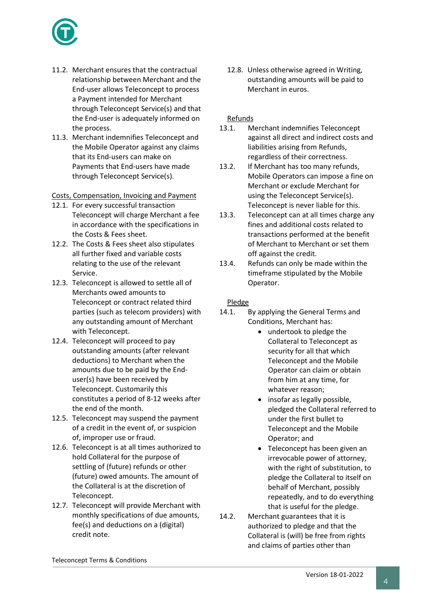

- 11.2. Merchant ensures that the contractual relationship between Merchant and the End-user allows Teleconcept to process a Payment intended for Merchant through Teleconcept Service(s) and that the End-user is adequately informed on the process.
- 11.3. Merchant indemnifies Teleconcept and the Mobile Operator against any claims that its End-users can make on Payments that End-users have made through Teleconcept Service(s).

Costs, Compensation, Invoicing and Payment

- 12.1. For every successful transaction Teleconcept will charge Merchant a fee in accordance with the specifications in the Costs & Fees sheet.
- 12.2. The Costs & Fees sheet also stipulates all further fixed and variable costs relating to the use of the relevant Service.
- 12.3. Teleconcept is allowed to settle all of Merchants owed amounts to Teleconcept or contract related third parties (such as telecom providers) with any outstanding amount of Merchant with Teleconcept.
- 12.4. Teleconcept will proceed to pay outstanding amounts (after relevant deductions) to Merchant when the amounts due to be paid by the Enduser(s) have been received by Teleconcept. Customarily this constitutes a period of 8-12 weeks after the end of the month.
- 12.5. Teleconcept may suspend the payment of a credit in the event of, or suspicion of, improper use or fraud.
- 12.6. Teleconcept is at all times authorized to hold Collateral for the purpose of settling of (future) refunds or other (future) owed amounts. The amount of the Collateral is at the discretion of Teleconcept.
- 12.7. Teleconcept will provide Merchant with monthly specifications of due amounts, fee(s) and deductions on a (digital) credit note.

12.8. Unless otherwise agreed in Writing, outstanding amounts will be paid to Merchant in euros.

## Refunds

- 13.1. Merchant indemnifies Teleconcept against all direct and indirect costs and liabilities arising from Refunds, regardless of their correctness.
- 13.2. If Merchant has too many refunds, Mobile Operators can impose a fine on Merchant or exclude Merchant for using the Teleconcept Service(s). Teleconcept is never liable for this.
- 13.3. Teleconcept can at all times charge any fines and additional costs related to transactions performed at the benefit of Merchant to Merchant or set them off against the credit.
- 13.4. Refunds can only be made within the timeframe stipulated by the Mobile Operator.

## Pledge

- 14.1. By applying the General Terms and Conditions, Merchant has:
	- undertook to pledge the Collateral to Teleconcept as security for all that which Teleconcept and the Mobile Operator can claim or obtain from him at any time, for whatever reason;
	- insofar as legally possible, pledged the Collateral referred to under the first bullet to Teleconcept and the Mobile Operator; and
	- Teleconcept has been given an irrevocable power of attorney, with the right of substitution, to pledge the Collateral to itself on behalf of Merchant, possibly repeatedly, and to do everything that is useful for the pledge.
- 14.2. Merchant guarantees that it is authorized to pledge and that the Collateral is (will) be free from rights and claims of parties other than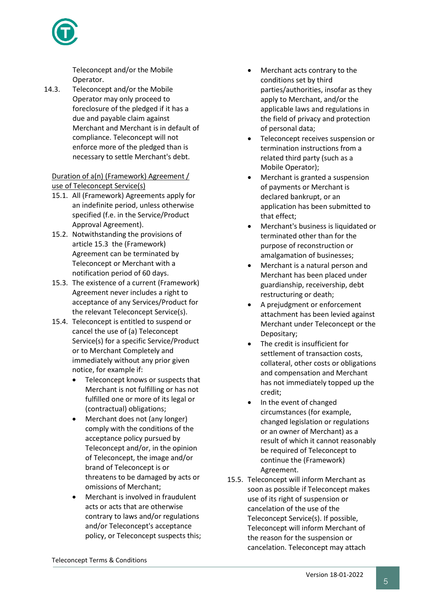

Teleconcept and/or the Mobile Operator.

14.3. Teleconcept and/or the Mobile Operator may only proceed to foreclosure of the pledged if it has a due and payable claim against Merchant and Merchant is in default of compliance. Teleconcept will not enforce more of the pledged than is necessary to settle Merchant's debt.

## Duration of a(n) (Framework) Agreement / use of Teleconcept Service(s)

- 15.1. All (Framework) Agreements apply for an indefinite period, unless otherwise specified (f.e. in the Service/Product Approval Agreement).
- 15.2. Notwithstanding the provisions of article 15.3 the (Framework) Agreement can be terminated by Teleconcept or Merchant with a notification period of 60 days.
- 15.3. The existence of a current (Framework) Agreement never includes a right to acceptance of any Services/Product for the relevant Teleconcept Service(s).
- 15.4. Teleconcept is entitled to suspend or cancel the use of (a) Teleconcept Service(s) for a specific Service/Product or to Merchant Completely and immediately without any prior given notice, for example if:
	- Teleconcept knows or suspects that Merchant is not fulfilling or has not fulfilled one or more of its legal or (contractual) obligations;
	- Merchant does not (any longer) comply with the conditions of the acceptance policy pursued by Teleconcept and/or, in the opinion of Teleconcept, the image and/or brand of Teleconcept is or threatens to be damaged by acts or omissions of Merchant;
	- Merchant is involved in fraudulent acts or acts that are otherwise contrary to laws and/or regulations and/or Teleconcept's acceptance policy, or Teleconcept suspects this;
- Merchant acts contrary to the conditions set by third parties/authorities, insofar as they apply to Merchant, and/or the applicable laws and regulations in the field of privacy and protection of personal data;
- Teleconcept receives suspension or termination instructions from a related third party (such as a Mobile Operator);
- Merchant is granted a suspension of payments or Merchant is declared bankrupt, or an application has been submitted to that effect;
- Merchant's business is liquidated or terminated other than for the purpose of reconstruction or amalgamation of businesses;
- Merchant is a natural person and Merchant has been placed under guardianship, receivership, debt restructuring or death;
- A prejudgment or enforcement attachment has been levied against Merchant under Teleconcept or the Depositary;
- The credit is insufficient for settlement of transaction costs, collateral, other costs or obligations and compensation and Merchant has not immediately topped up the credit;
- In the event of changed circumstances (for example, changed legislation or regulations or an owner of Merchant) as a result of which it cannot reasonably be required of Teleconcept to continue the (Framework) Agreement.
- 15.5. Teleconcept will inform Merchant as soon as possible if Teleconcept makes use of its right of suspension or cancelation of the use of the Teleconcept Service(s). If possible, Teleconcept will inform Merchant of the reason for the suspension or cancelation. Teleconcept may attach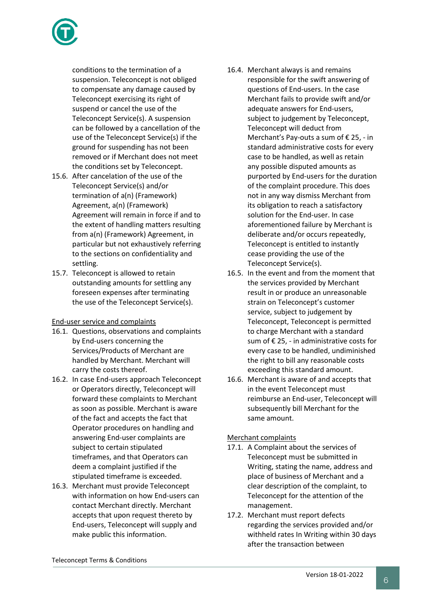

conditions to the termination of a suspension. Teleconcept is not obliged to compensate any damage caused by Teleconcept exercising its right of suspend or cancel the use of the Teleconcept Service(s). A suspension can be followed by a cancellation of the use of the Teleconcept Service(s) if the ground for suspending has not been removed or if Merchant does not meet the conditions set by Teleconcept.

- 15.6. After cancelation of the use of the Teleconcept Service(s) and/or termination of a(n) (Framework) Agreement, a(n) (Framework) Agreement will remain in force if and to the extent of handling matters resulting from a(n) (Framework) Agreement, in particular but not exhaustively referring to the sections on confidentiality and settling.
- 15.7. Teleconcept is allowed to retain outstanding amounts for settling any foreseen expenses after terminating the use of the Teleconcept Service(s).

## End-user service and complaints

- 16.1. Questions, observations and complaints by End-users concerning the Services/Products of Merchant are handled by Merchant. Merchant will carry the costs thereof.
- 16.2. In case End-users approach Teleconcept or Operators directly, Teleconcept will forward these complaints to Merchant as soon as possible. Merchant is aware of the fact and accepts the fact that Operator procedures on handling and answering End-user complaints are subject to certain stipulated timeframes, and that Operators can deem a complaint justified if the stipulated timeframe is exceeded.
- 16.3. Merchant must provide Teleconcept with information on how End-users can contact Merchant directly. Merchant accepts that upon request thereto by End-users, Teleconcept will supply and make public this information.
- 16.4. Merchant always is and remains responsible for the swift answering of questions of End-users. In the case Merchant fails to provide swift and/or adequate answers for End-users, subject to judgement by Teleconcept, Teleconcept will deduct from Merchant's Pay-outs a sum of € 25, - in standard administrative costs for every case to be handled, as well as retain any possible disputed amounts as purported by End-users for the duration of the complaint procedure. This does not in any way dismiss Merchant from its obligation to reach a satisfactory solution for the End-user. In case aforementioned failure by Merchant is deliberate and/or occurs repeatedly, Teleconcept is entitled to instantly cease providing the use of the Teleconcept Service(s).
- 16.5. In the event and from the moment that the services provided by Merchant result in or produce an unreasonable strain on Teleconcept's customer service, subject to judgement by Teleconcept, Teleconcept is permitted to charge Merchant with a standard sum of  $\epsilon$  25, - in administrative costs for every case to be handled, undiminished the right to bill any reasonable costs exceeding this standard amount.
- 16.6. Merchant is aware of and accepts that in the event Teleconcept must reimburse an End-user, Teleconcept will subsequently bill Merchant for the same amount.

## Merchant complaints

- 17.1. A Complaint about the services of Teleconcept must be submitted in Writing, stating the name, address and place of business of Merchant and a clear description of the complaint, to Teleconcept for the attention of the management.
- 17.2. Merchant must report defects regarding the services provided and/or withheld rates In Writing within 30 days after the transaction between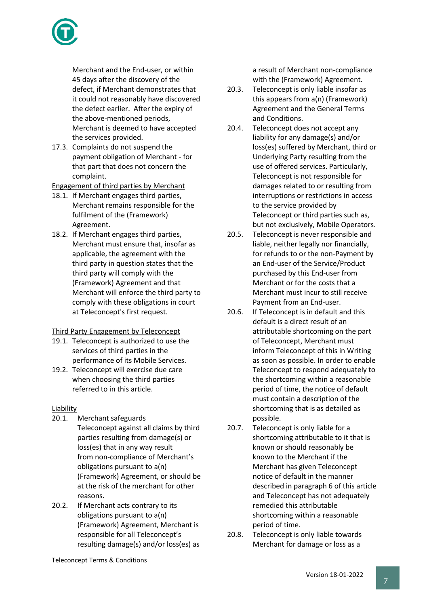

Merchant and the End-user, or within 45 days after the discovery of the defect, if Merchant demonstrates that it could not reasonably have discovered the defect earlier. After the expiry of the above-mentioned periods, Merchant is deemed to have accepted the services provided.

17.3. Complaints do not suspend the payment obligation of Merchant - for that part that does not concern the complaint.

Engagement of third parties by Merchant

- 18.1. If Merchant engages third parties, Merchant remains responsible for the fulfilment of the (Framework) Agreement.
- 18.2. If Merchant engages third parties, Merchant must ensure that, insofar as applicable, the agreement with the third party in question states that the third party will comply with the (Framework) Agreement and that Merchant will enforce the third party to comply with these obligations in court at Teleconcept's first request.

## Third Party Engagement by Teleconcept

- 19.1. Teleconcept is authorized to use the services of third parties in the performance of its Mobile Services.
- 19.2. Teleconcept will exercise due care when choosing the third parties referred to in this article.

## Liability

- 20.1. Merchant safeguards Teleconcept against all claims by third parties resulting from damage(s) or loss(es) that in any way result from non-compliance of Merchant's obligations pursuant to a(n) (Framework) Agreement, or should be at the risk of the merchant for other reasons.
- 20.2. If Merchant acts contrary to its obligations pursuant to a(n) (Framework) Agreement, Merchant is responsible for all Teleconcept's resulting damage(s) and/or loss(es) as

a result of Merchant non-compliance with the (Framework) Agreement.

- 20.3. Teleconcept is only liable insofar as this appears from a(n) (Framework) Agreement and the General Terms and Conditions.
- 20.4. Teleconcept does not accept any liability for any damage(s) and/or loss(es) suffered by Merchant, third or Underlying Party resulting from the use of offered services. Particularly, Teleconcept is not responsible for damages related to or resulting from interruptions or restrictions in access to the service provided by Teleconcept or third parties such as, but not exclusively, Mobile Operators.
- 20.5. Teleconcept is never responsible and liable, neither legally nor financially, for refunds to or the non-Payment by an End-user of the Service/Product purchased by this End-user from Merchant or for the costs that a Merchant must incur to still receive Payment from an End-user.
- 20.6. If Teleconcept is in default and this default is a direct result of an attributable shortcoming on the part of Teleconcept, Merchant must inform Teleconcept of this in Writing as soon as possible. In order to enable Teleconcept to respond adequately to the shortcoming within a reasonable period of time, the notice of default must contain a description of the shortcoming that is as detailed as possible.
- 20.7. Teleconcept is only liable for a shortcoming attributable to it that is known or should reasonably be known to the Merchant if the Merchant has given Teleconcept notice of default in the manner described in paragraph 6 of this article and Teleconcept has not adequately remedied this attributable shortcoming within a reasonable period of time.
- 20.8. Teleconcept is only liable towards Merchant for damage or loss as a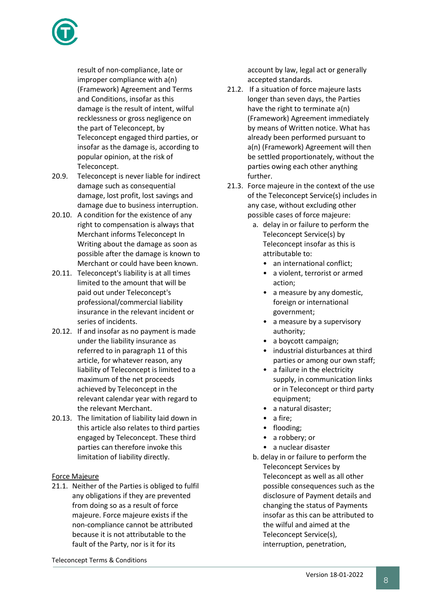

result of non-compliance, late or improper compliance with a(n) (Framework) Agreement and Terms and Conditions, insofar as this damage is the result of intent, wilful recklessness or gross negligence on the part of Teleconcept, by Teleconcept engaged third parties, or insofar as the damage is, according to popular opinion, at the risk of Teleconcept.

- 20.9. Teleconcept is never liable for indirect damage such as consequential damage, lost profit, lost savings and damage due to business interruption.
- 20.10. A condition for the existence of any right to compensation is always that Merchant informs Teleconcept In Writing about the damage as soon as possible after the damage is known to Merchant or could have been known.
- 20.11. Teleconcept's liability is at all times limited to the amount that will be paid out under Teleconcept's professional/commercial liability insurance in the relevant incident or series of incidents.
- 20.12. If and insofar as no payment is made under the liability insurance as referred to in paragraph 11 of this article, for whatever reason, any liability of Teleconcept is limited to a maximum of the net proceeds achieved by Teleconcept in the relevant calendar year with regard to the relevant Merchant.
- 20.13. The limitation of liability laid down in this article also relates to third parties engaged by Teleconcept. These third parties can therefore invoke this limitation of liability directly.

## Force Majeure

21.1. Neither of the Parties is obliged to fulfil any obligations if they are prevented from doing so as a result of force majeure. Force majeure exists if the non-compliance cannot be attributed because it is not attributable to the fault of the Party, nor is it for its

account by law, legal act or generally accepted standards.

- 21.2. If a situation of force majeure lasts longer than seven days, the Parties have the right to terminate a(n) (Framework) Agreement immediately by means of Written notice. What has already been performed pursuant to a(n) (Framework) Agreement will then be settled proportionately, without the parties owing each other anything further.
- 21.3. Force majeure in the context of the use of the Teleconcept Service(s) includes in any case, without excluding other possible cases of force majeure:
	- a. delay in or failure to perform the Teleconcept Service(s) by Teleconcept insofar as this is attributable to:
		- an international conflict;
		- a violent, terrorist or armed action;
		- a measure by any domestic, foreign or international government;
		- a measure by a supervisory authority;
		- a boycott campaign;
		- industrial disturbances at third parties or among our own staff;
		- a failure in the electricity supply, in communication links or in Teleconcept or third party equipment;
		- a natural disaster;
		- a fire;
		- flooding;
		- a robbery; or
		- a nuclear disaster
	- b. delay in or failure to perform the Teleconcept Services by Teleconcept as well as all other possible consequences such as the disclosure of Payment details and changing the status of Payments insofar as this can be attributed to the wilful and aimed at the Teleconcept Service(s), interruption, penetration,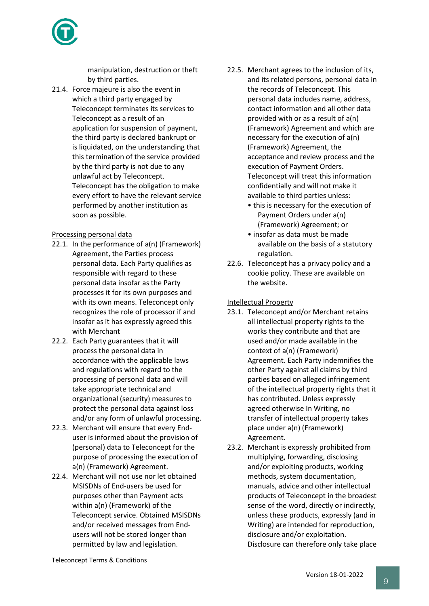

manipulation, destruction or theft by third parties.

21.4. Force majeure is also the event in which a third party engaged by Teleconcept terminates its services to Teleconcept as a result of an application for suspension of payment, the third party is declared bankrupt or is liquidated, on the understanding that this termination of the service provided by the third party is not due to any unlawful act by Teleconcept. Teleconcept has the obligation to make every effort to have the relevant service performed by another institution as soon as possible.

## Processing personal data

- 22.1. In the performance of a(n) (Framework) Agreement, the Parties process personal data. Each Party qualifies as responsible with regard to these personal data insofar as the Party processes it for its own purposes and with its own means. Teleconcept only recognizes the role of processor if and insofar as it has expressly agreed this with Merchant
- 22.2. Each Party guarantees that it will process the personal data in accordance with the applicable laws and regulations with regard to the processing of personal data and will take appropriate technical and organizational (security) measures to protect the personal data against loss and/or any form of unlawful processing.
- 22.3. Merchant will ensure that every Enduser is informed about the provision of (personal) data to Teleconcept for the purpose of processing the execution of a(n) (Framework) Agreement.
- 22.4. Merchant will not use nor let obtained MSISDNs of End-users be used for purposes other than Payment acts within a(n) (Framework) of the Teleconcept service. Obtained MSISDNs and/or received messages from Endusers will not be stored longer than permitted by law and legislation.
- 22.5. Merchant agrees to the inclusion of its, and its related persons, personal data in the records of Teleconcept. This personal data includes name, address, contact information and all other data provided with or as a result of a(n) (Framework) Agreement and which are necessary for the execution of a(n) (Framework) Agreement, the acceptance and review process and the execution of Payment Orders. Teleconcept will treat this information confidentially and will not make it available to third parties unless:
	- this is necessary for the execution of Payment Orders under a(n) (Framework) Agreement; or
	- insofar as data must be made available on the basis of a statutory regulation.
- 22.6. Teleconcept has a privacy policy and a cookie policy. These are available on the website.

## Intellectual Property

- 23.1. Teleconcept and/or Merchant retains all intellectual property rights to the works they contribute and that are used and/or made available in the context of a(n) (Framework) Agreement. Each Party indemnifies the other Party against all claims by third parties based on alleged infringement of the intellectual property rights that it has contributed. Unless expressly agreed otherwise In Writing, no transfer of intellectual property takes place under a(n) (Framework) Agreement.
- 23.2. Merchant is expressly prohibited from multiplying, forwarding, disclosing and/or exploiting products, working methods, system documentation, manuals, advice and other intellectual products of Teleconcept in the broadest sense of the word, directly or indirectly, unless these products, expressly (and in Writing) are intended for reproduction, disclosure and/or exploitation. Disclosure can therefore only take place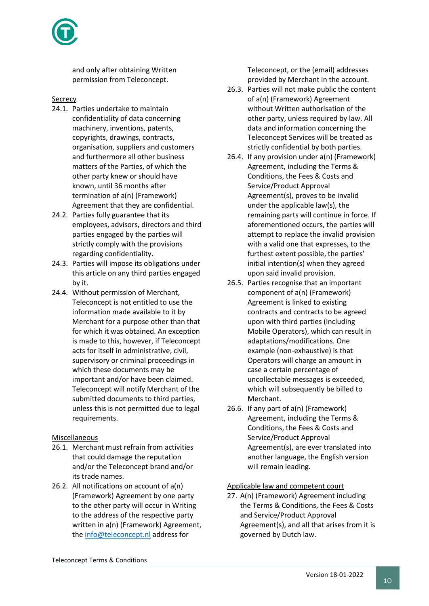and only after obtaining Written permission from Teleconcept.

#### **Secrecy**

- 24.1. Parties undertake to maintain confidentiality of data concerning machinery, inventions, patents, copyrights, drawings, contracts, organisation, suppliers and customers and furthermore all other business matters of the Parties, of which the other party knew or should have known, until 36 months after termination of a(n) (Framework) Agreement that they are confidential.
- 24.2. Parties fully guarantee that its employees, advisors, directors and third parties engaged by the parties will strictly comply with the provisions regarding confidentiality.
- 24.3. Parties will impose its obligations under this article on any third parties engaged by it.
- 24.4. Without permission of Merchant, Teleconcept is not entitled to use the information made available to it by Merchant for a purpose other than that for which it was obtained. An exception is made to this, however, if Teleconcept acts for itself in administrative, civil, supervisory or criminal proceedings in which these documents may be important and/or have been claimed. Teleconcept will notify Merchant of the submitted documents to third parties, unless this is not permitted due to legal requirements.

## Miscellaneous

- 26.1. Merchant must refrain from activities that could damage the reputation and/or the Teleconcept brand and/or its trade names.
- 26.2. All notifications on account of a(n) (Framework) Agreement by one party to the other party will occur in Writing to the address of the respective party written in a(n) (Framework) Agreement, the [info@teleconcept.nl](mailto:info@teleconcept.nl) address for

Teleconcept, or the (email) addresses provided by Merchant in the account.

- 26.3. Parties will not make public the content of a(n) (Framework) Agreement without Written authorisation of the other party, unless required by law. All data and information concerning the Teleconcept Services will be treated as strictly confidential by both parties.
- 26.4. If any provision under a(n) (Framework) Agreement, including the Terms & Conditions, the Fees & Costs and Service/Product Approval Agreement(s), proves to be invalid under the applicable law(s), the remaining parts will continue in force. If aforementioned occurs, the parties will attempt to replace the invalid provision with a valid one that expresses, to the furthest extent possible, the parties' initial intention(s) when they agreed upon said invalid provision.
- 26.5. Parties recognise that an important component of a(n) (Framework) Agreement is linked to existing contracts and contracts to be agreed upon with third parties (including Mobile Operators), which can result in adaptations/modifications. One example (non-exhaustive) is that Operators will charge an amount in case a certain percentage of uncollectable messages is exceeded, which will subsequently be billed to Merchant.
- 26.6. If any part of a(n) (Framework) Agreement, including the Terms & Conditions, the Fees & Costs and Service/Product Approval Agreement(s), are ever translated into another language, the English version will remain leading.

#### Applicable law and competent court

27. A(n) (Framework) Agreement including the Terms & Conditions, the Fees & Costs and Service/Product Approval Agreement(s), and all that arises from it is governed by Dutch law.